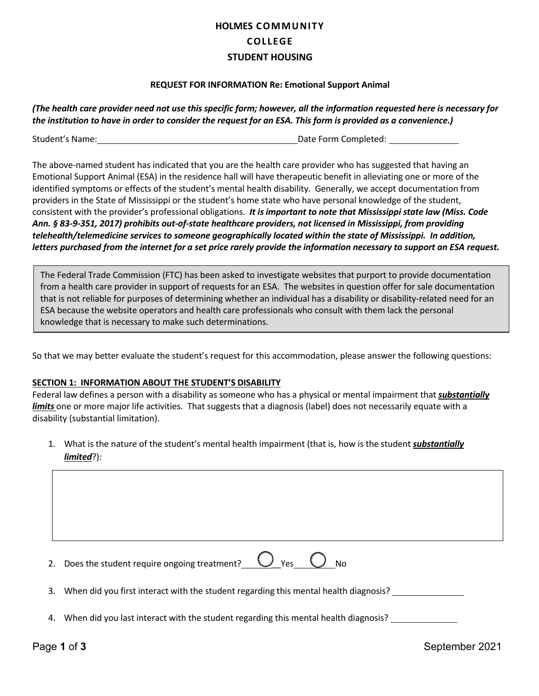# **HOLMES COMMUNITY COLLEGE STUDENT HOUSING**

## **REQUEST FOR INFORMATION Re: Emotional Support Animal**

*(The health care provider need not use this specific form; however, all the information requested here is necessary for the institution to have in order to consider the request for an ESA. This form is provided as a convenience.)*

Student's Name: Name: Date Form Completed: Date Form Completed:

The above-named student has indicated that you are the health care provider who has suggested that having an Emotional Support Animal (ESA) in the residence hall will have therapeutic benefit in alleviating one or more of the identified symptoms or effects of the student's mental health disability. Generally, we accept documentation from providers in the State of Mississippi or the student's home state who have personal knowledge of the student, consistent with the provider's professional obligations. *It is important to note that Mississippi state law (Miss. Code Ann. § 83-9-351, 2017) prohibits out-of-state healthcare providers, not licensed in Mississippi, from providing telehealth/telemedicine services to someone geographically located within the state of Mississippi. In addition,* letters purchased from the internet for a set price rarely provide the information necessary to support an ESA request.

The Federal Trade Commission (FTC) has been asked to investigate websites that purport to provide documentation from a health care provider in support of requests for an ESA. The websites in question offer for sale documentation that is not reliable for purposes of determining whether an individual has a disability or disability-related need for an ESA because the website operators and health care professionals who consult with them lack the personal knowledge that is necessary to make such determinations.

So that we may better evaluate the student's request for this accommodation, please answer the following questions:

# **SECTION 1: INFORMATION ABOUT THE STUDENT'S DISABILITY**

Federal law defines a person with a disability as someone who has a physical or mental impairment that *substantially limits* one or more major life activities. That suggests that a diagnosis (label) does not necessarily equate with a disability (substantial limitation).

1. What is the nature of the student's mental health impairment (that is, how is the student *substantially limited*?):

| 2. Does the student require ongoing treatment? $\bigcup$ Yes $\bigcup$ No               |
|-----------------------------------------------------------------------------------------|
| 3. When did you first interact with the student regarding this mental health diagnosis? |

4. When did you last interact with the student regarding this mental health diagnosis?

Page 1 of 3 September 2021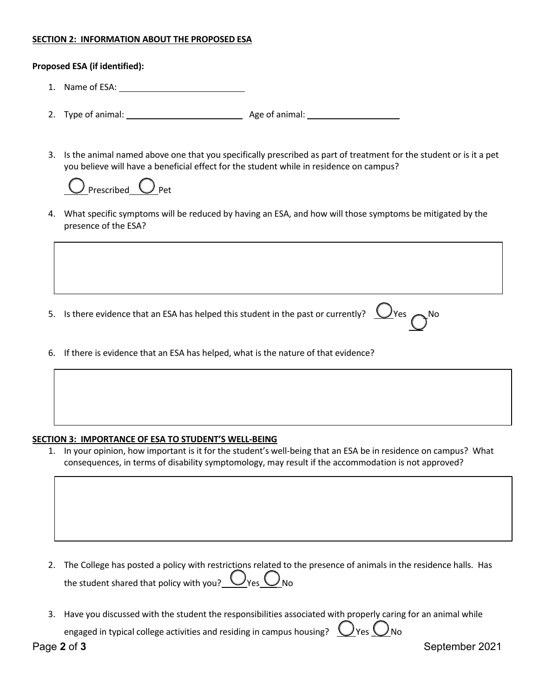# **SECTION 2: INFORMATION ABOUT THE PROPOSED ESA**

### **Proposed ESA (if identified):**

- 1. Name of ESA:
- 2. Type of animal: Age of animal:
- 3. Is the animal named above one that you specifically prescribed as part of treatment for the student or is it a pet you believe will have a beneficial effect for the student while in residence on campus?



4. What specific symptoms will be reduced by having an ESA, and how will those symptoms be mitigated by the presence of the ESA?

|  | 5. Is there evidence that an ESA has helped this student in the past or currently? $\bigcup$ Yes $\bigcap$ No |  |  |
|--|---------------------------------------------------------------------------------------------------------------|--|--|
|--|---------------------------------------------------------------------------------------------------------------|--|--|

6. If there is evidence that an ESA has helped, what is the nature of that evidence?

#### **SECTION 3: IMPORTANCE OF ESA TO STUDENT'S WELL-BEING**

1. In your opinion, how important is it for the student's well-being that an ESA be in residence on campus? What consequences, in terms of disability symptomology, may result if the accommodation is not approved?

2. The College has posted a policy with restrictions related to the presence of animals in the residence halls. Has the student shared that policy with you?  $\underline{\bigcup}$  Yes  $\underline{\bigcup}$  No

3. Have you discussed with the student the responsibilities associated with properly caring for an animal while engaged in typical college activities and residing in campus housing?  $\bigcirc$  Yes  $\bigcirc$  No